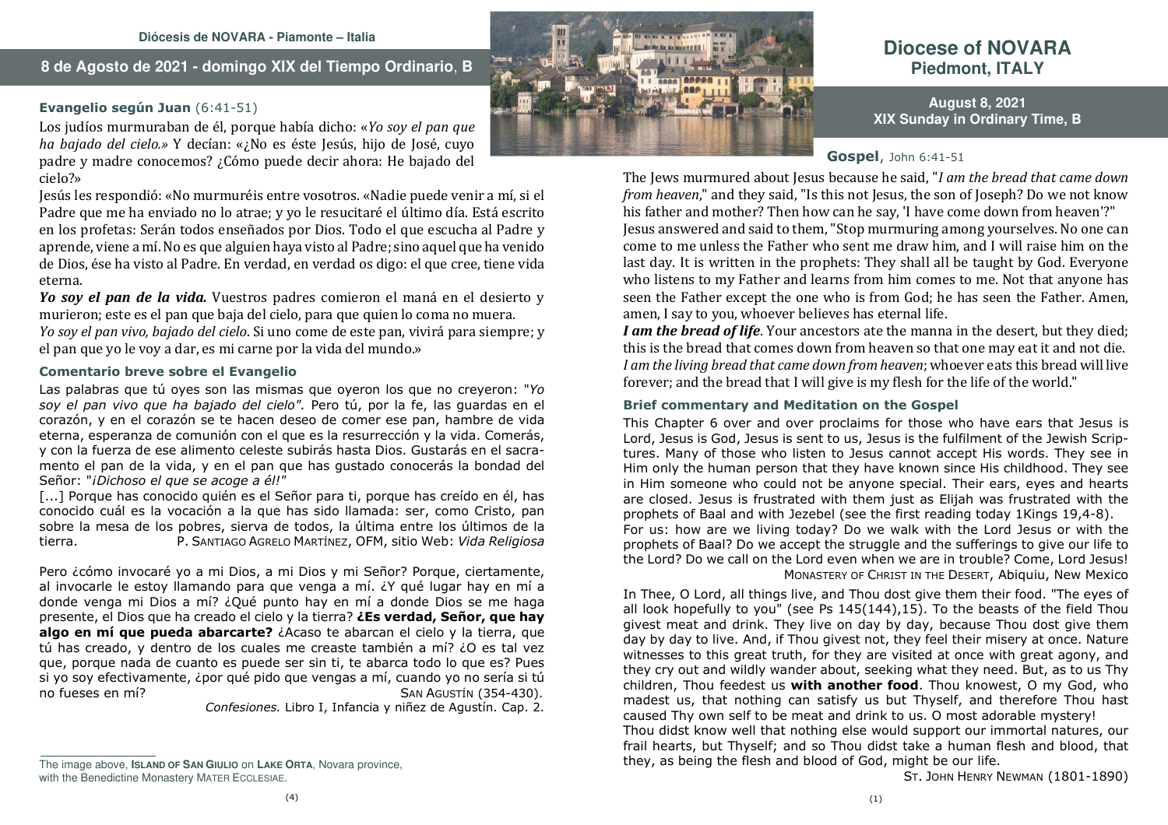## **8 de Agosto de 2021 - domingo XIX del Tiempo Ordinario**, **B**

#### **Evangelio según Juan** (6:41-51)

Los judíos murmuraban de él, porque había dicho: «*Yo soy el pan que ha bajado del cielo.»* Y decían: «¿No es éste Jesús, hijo de José, cuyo padre y madre conocemos? ¿Cómo puede decir ahora: He bajado del cielo?»

Jesús les respondió: «No murmuréis entre vosotros. «Nadie puede venir a mí, si el Padre que me ha enviado no lo atrae; y yo le resucitaré el último día. Está escrito en los profetas: Serán todos enseñados por Dios. Todo el que escucha al Padre y aprende, viene a mí. No es que alguien haya visto al Padre; sino aquel que ha venido de Dios, ése ha visto al Padre. En verdad, en verdad os digo: el que cree, tiene vida eterna.

 *Yo soy el pan de la vida.* Vuestros padres comieron el maná en el desierto y murieron; este es el pan que baja del cielo, para que quien lo coma no muera. *Yo soy el pan vivo, bajado del cielo*. Si uno come de este pan, vivirá para siempre; y el pan que yo le voy a dar, es mi carne por la vida del mundo.»

#### **Comentario breve sobre el Evangelio**

Las palabras que tú oyes son las mismas que oyeron los que no creyeron: "*Yo soy el pan vivo que ha bajado del cielo".* Pero tú, por la fe, las guardas en el corazón, y en el corazón se te hacen deseo de comer ese pan, hambre de vida eterna, esperanza de comunión con el que es la resurrección y la vida. Comerás, y con la fuerza de ese alimento celeste subirás hasta Dios. Gustarás en el sacramento el pan de la vida, y en el pan que has gustado conocerás la bondad del Señor: "*¡Dichoso el que se acoge a él!"*

 [...] Porque has conocido quién es el Señor para ti, porque has creído en él, has conocido cuál es la vocación a la que has sido llamada: ser, como Cristo, pan sobre la mesa de los pobres, sierva de todos, la última entre los últimos de la SANTIAGO AGRELO MARTÍNEZ, OFM, sitio Web: *Vida Religiosa*tierra.

Pero ¿cómo invocaré yo a mi Dios, a mi Dios y mi Señor? Porque, ciertamente, al invocarle le estoy llamando para que venga a mí. ¿Y qué lugar hay en mí a donde venga mi Dios a mí? ¿Qué punto hay en mí a donde Dios se me haga presente, el Dios que ha creado el cielo y la tierra? **¿Es verdad, Señor, que hay algo en mí que pueda abarcarte?** ¿Acaso te abarcan el cielo y la tierra, que tú has creado, y dentro de los cuales me creaste también a mí? ¿O es tal vez que, porque nada de cuanto es puede ser sin ti, te abarca todo lo que es? Pues si yo soy efectivamente, ¿por qué pido que vengas a mí, cuando yo no sería si tú AGUSTÍN (354-430).  $no$  fueses en  $m<sup>2</sup>$ 

*Confesiones.* Libro I, Infancia y niñez de Agustín. Cap. 2.

This Chapter 6 over and over proclaims for those who have ears that Jesus is

 Lord, Jesus is God, Jesus is sent to us, Jesus is the fulfilment of the Jewish Scriptures. Many of those who listen to Jesus cannot accept His words. They see in Him only the human person that they have known since His childhood. They see in Him someone who could not be anyone special. Their ears, eyes and hearts are closed. Jesus is frustrated with them just as Elijah was frustrated with the prophets of Baal and with Jezebel (see the first reading today 1Kings 19,4-8). For us: how are we living today? Do we walk with the Lord Jesus or with the prophets of Baal? Do we accept the struggle and the sufferings to give our life to the Lord? Do we call on the Lord even when we are in trouble? Come, Lord Jesus! MONASTERY OF CHRIST IN THE DESERT, Abiquiu, New Mexico In Thee, O Lord, all things live, and Thou dost give them their food. "The eyes of

 all look hopefully to you" (see Ps 145(144),15). To the beasts of the field Thou givest meat and drink. They live on day by day, because Thou dost give them day by day to live. And, if Thou givest not, they feel their misery at once. Nature witnesses to this great truth, for they are visited at once with great agony, and they cry out and wildly wander about, seeking what they need. But, as to us Thy children, Thou feedest us **with another food**. Thou knowest, O my God, who madest us, that nothing can satisfy us but Thyself, and therefore Thou hast caused Thy own self to be meat and drink to us. O most adorable mystery! Thou didst know well that nothing else would support our immortal natures, our frail hearts, but Thyself; and so Thou didst take a human flesh and blood, that

ST. <sup>J</sup>OHN HENRY NEWMAN (1801-1890)

**August 8, 2021 XIX Sunday in Ordinary Time, B** 

**Diocese of NOVARAPiedmont, ITALY**

**Gospel**, John 6:41-51

 The Jews murmured about Jesus because he said, "*I am the bread that came down from heaven*," and they said, "Is this not Jesus, the son of Joseph? Do we not know his father and mother? Then how can he say, 'I have come down from heaven'?" Jesus answered and said to them, "Stop murmuring among yourselves. No one can come to me unless the Father who sent me draw him, and I will raise him on the last day. It is written in the prophets: They shall all be taught by God. Everyone who listens to my Father and learns from him comes to me. Not that anyone has seen the Father except the one who is from God; he has seen the Father. Amen, amen, I say to you, whoever believes has eternal life.

 *I am the bread of life*. Your ancestors ate the manna in the desert, but they died; this is the bread that comes down from heaven so that one may eat it and not die. *I am the living bread that came down from heaven*; whoever eats this bread will live forever; and the bread that I will give is my flesh for the life of the world."

## **Brief commentary and Meditation on the Gospel**

they, as being the flesh and blood of God, might be our life.



The image above, **ISLAND OF SAN GIULIO** on **LAKE ORTA**, Novara province, with the Benedictine Monastery MATER ECCLESIAE.